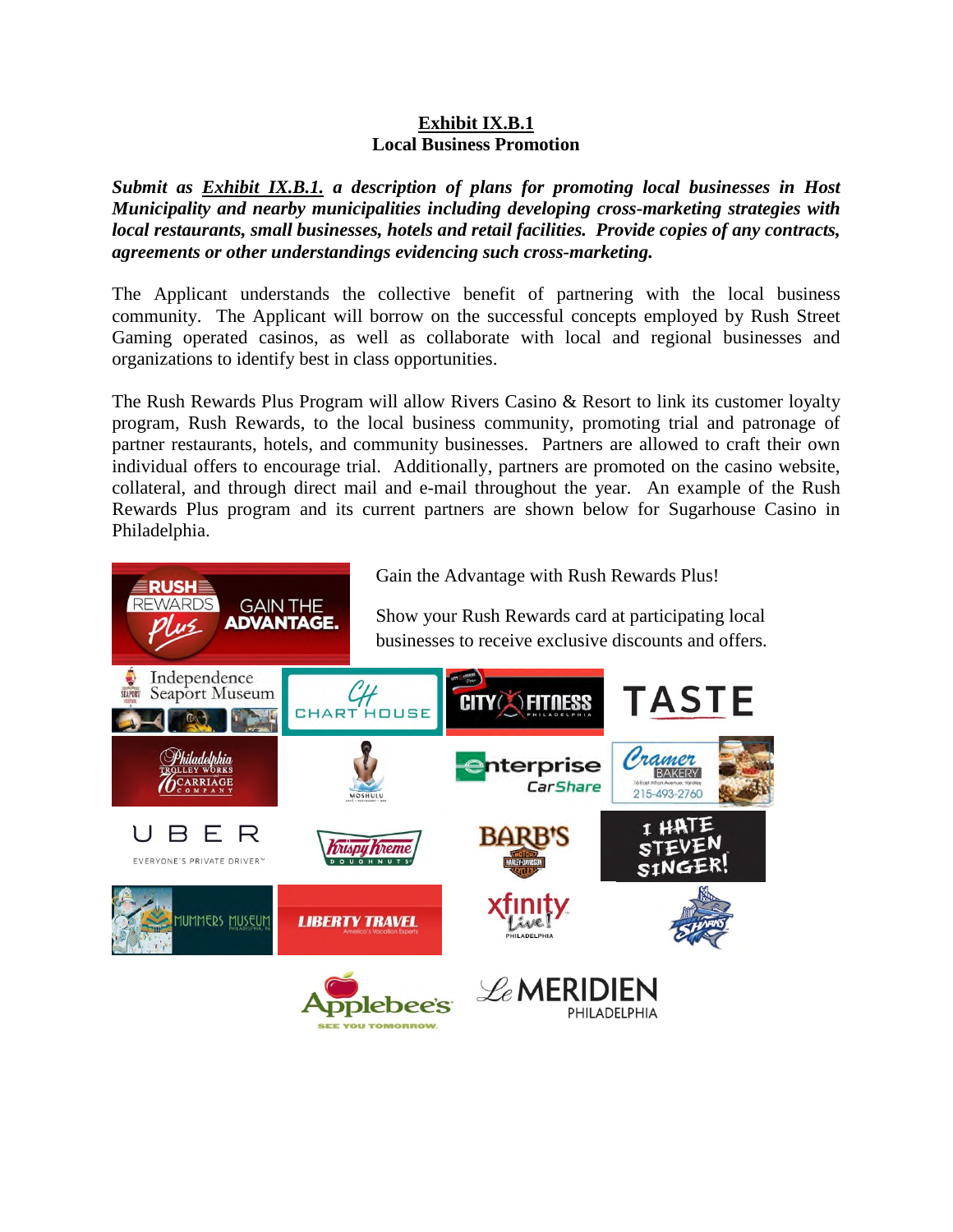## **Exhibit IX.B.1 Local Business Promotion**

*Submit as Exhibit IX.B.1. a description of plans for promoting local businesses in Host Municipality and nearby municipalities including developing cross-marketing strategies with local restaurants, small businesses, hotels and retail facilities. Provide copies of any contracts, agreements or other understandings evidencing such cross-marketing.*

The Applicant understands the collective benefit of partnering with the local business community. The Applicant will borrow on the successful concepts employed by Rush Street Gaming operated casinos, as well as collaborate with local and regional businesses and organizations to identify best in class opportunities.

The Rush Rewards Plus Program will allow Rivers Casino & Resort to link its customer loyalty program, Rush Rewards, to the local business community, promoting trial and patronage of partner restaurants, hotels, and community businesses. Partners are allowed to craft their own individual offers to encourage trial. Additionally, partners are promoted on the casino website, collateral, and through direct mail and e-mail throughout the year. An example of the Rush Rewards Plus program and its current partners are shown below for Sugarhouse Casino in Philadelphia.

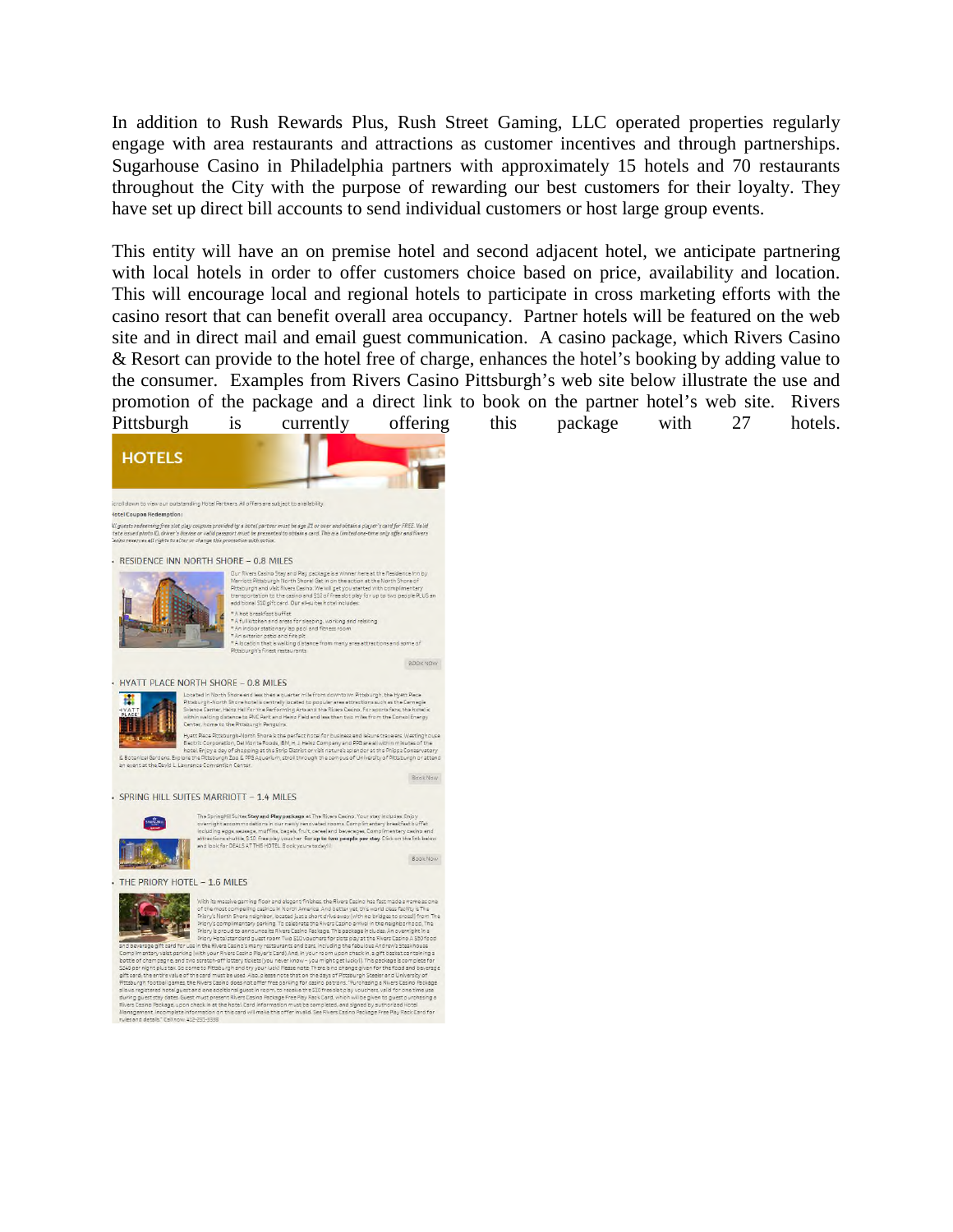In addition to Rush Rewards Plus, Rush Street Gaming, LLC operated properties regularly engage with area restaurants and attractions as customer incentives and through partnerships. Sugarhouse Casino in Philadelphia partners with approximately 15 hotels and 70 restaurants throughout the City with the purpose of rewarding our best customers for their loyalty. They have set up direct bill accounts to send individual customers or host large group events.

This entity will have an on premise hotel and second adjacent hotel, we anticipate partnering with local hotels in order to offer customers choice based on price, availability and location. This will encourage local and regional hotels to participate in cross marketing efforts with the casino resort that can benefit overall area occupancy. Partner hotels will be featured on the web site and in direct mail and email guest communication. A casino package, which Rivers Casino & Resort can provide to the hotel free of charge, enhances the hotel's booking by adding value to the consumer. Examples from Rivers Casino Pittsburgh's web site below illustrate the use and promotion of the package and a direct link to book on the partner hotel's web site. Rivers Pittsburgh is currently offering this package with 27 hotels.



Buring guest say asses avec must present mors cashid recaspe free ray next cars, who must premise pure burinte<br>Rivers Cesho Peckage, upon check in at the hotel, Card information must be completed, and signed by authorized